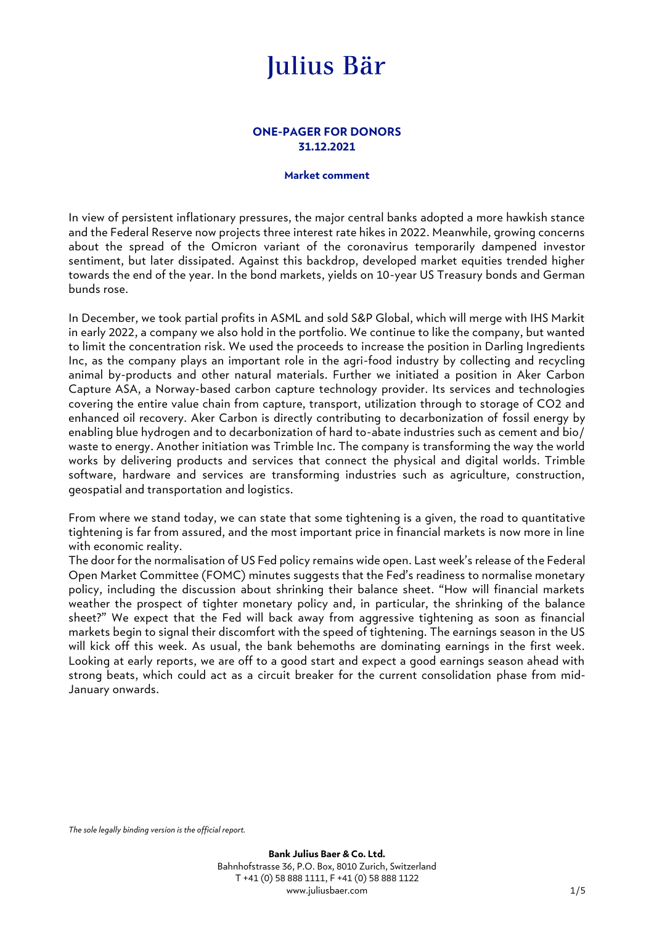#### **ONE-PAGER FOR DONORS 31.12.2021**

#### **Market comment**

In view of persistent inflationary pressures, the major central banks adopted a more hawkish stance and the Federal Reserve now projects three interest rate hikes in 2022. Meanwhile, growing concerns about the spread of the Omicron variant of the coronavirus temporarily dampened investor sentiment, but later dissipated. Against this backdrop, developed market equities trended higher towards the end of the year. In the bond markets, yields on 10-year US Treasury bonds and German bunds rose.

In December, we took partial profits in ASML and sold S&P Global, which will merge with IHS Markit in early 2022, a company we also hold in the portfolio. We continue to like the company, but wanted to limit the concentration risk. We used the proceeds to increase the position in Darling Ingredients Inc, as the company plays an important role in the agri-food industry by collecting and recycling animal by-products and other natural materials. Further we initiated a position in Aker Carbon Capture ASA, a Norway-based carbon capture technology provider. Its services and technologies covering the entire value chain from capture, transport, utilization through to storage of CO2 and enhanced oil recovery. Aker Carbon is directly contributing to decarbonization of fossil energy by enabling blue hydrogen and to decarbonization of hard to-abate industries such as cement and bio/ waste to energy. Another initiation was Trimble Inc. The company is transforming the way the world works by delivering products and services that connect the physical and digital worlds. Trimble software, hardware and services are transforming industries such as agriculture, construction, geospatial and transportation and logistics.

From where we stand today, we can state that some tightening is a given, the road to quantitative tightening is far from assured, and the most important price in financial markets is now more in line with economic reality.

The door for the normalisation of US Fed policy remains wide open. Last week's release of the Federal Open Market Committee (FOMC) minutes suggests that the Fed's readiness to normalise monetary policy, including the discussion about shrinking their balance sheet. "How will financial markets weather the prospect of tighter monetary policy and, in particular, the shrinking of the balance sheet?" We expect that the Fed will back away from aggressive tightening as soon as financial markets begin to signal their discomfort with the speed of tightening. The earnings season in the US will kick off this week. As usual, the bank behemoths are dominating earnings in the first week. Looking at early reports, we are off to a good start and expect a good earnings season ahead with strong beats, which could act as a circuit breaker for the current consolidation phase from mid-January onwards.

*The sole legally binding version is the official report.*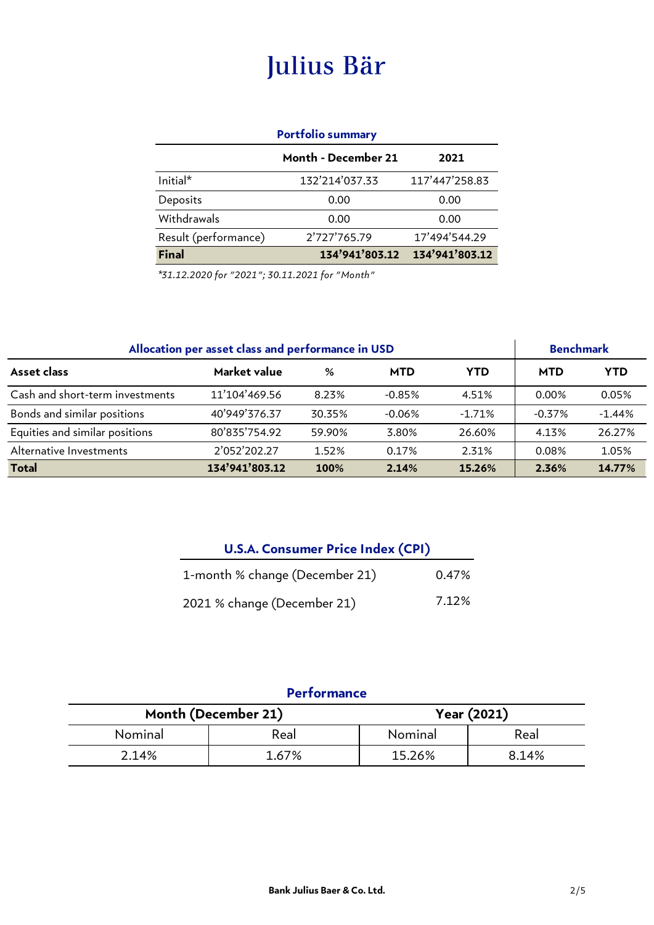#### **Portfolio summary**

|                      | Month - December 21 | 2021           |
|----------------------|---------------------|----------------|
| $Initial*$           | 132'214'037.33      | 117'447'258.83 |
| Deposits             | 0.00                | 0.00           |
| Withdrawals          | 0.00                | 0.00           |
| Result (performance) | 2'727'765.79        | 17'494'544.29  |
| <b>Final</b>         | 134'941'803.12      | 134'941'803.12 |

*\*31.12.2020 for "2021"; 30.11.2021 for "Month"*

| Allocation per asset class and performance in USD |                |             |            | <b>Benchmark</b> |            |            |
|---------------------------------------------------|----------------|-------------|------------|------------------|------------|------------|
| Asset class                                       | Market value   | %           | <b>MTD</b> | <b>YTD</b>       | <b>MTD</b> | <b>YTD</b> |
| Cash and short-term investments                   | 11'104'469.56  | 8.23%       | $-0.85%$   | 4.51%            | 0.00%      | 0.05%      |
| Bonds and similar positions                       | 40'949'376.37  | 30.35%      | $-0.06%$   | $-1.71%$         | $-0.37%$   | $-1.44%$   |
| Equities and similar positions                    | 80'835'754.92  | 59.90%      | 3.80%      | 26.60%           | 4.13%      | 26.27%     |
| Alternative Investments                           | 2'052'202.27   | 1.52%       | 0.17%      | 2.31%            | 0.08%      | 1.05%      |
| <b>Total</b>                                      | 134'941'803.12 | <b>100%</b> | 2.14%      | 15.26%           | 2.36%      | 14.77%     |

| <b>U.S.A. Consumer Price Index (CPI)</b> |       |  |  |  |
|------------------------------------------|-------|--|--|--|
| 1-month % change (December 21)           | 0.47% |  |  |  |
| 2021 % change (December 21)              | 7.12% |  |  |  |

### **Performance**

| Month (December 21) |       | <b>Year (2021)</b> |       |  |
|---------------------|-------|--------------------|-------|--|
| Nominal             | Real  | Nominal            | Real  |  |
| 2.14%               | 1.67% | 15.26%             | 8.14% |  |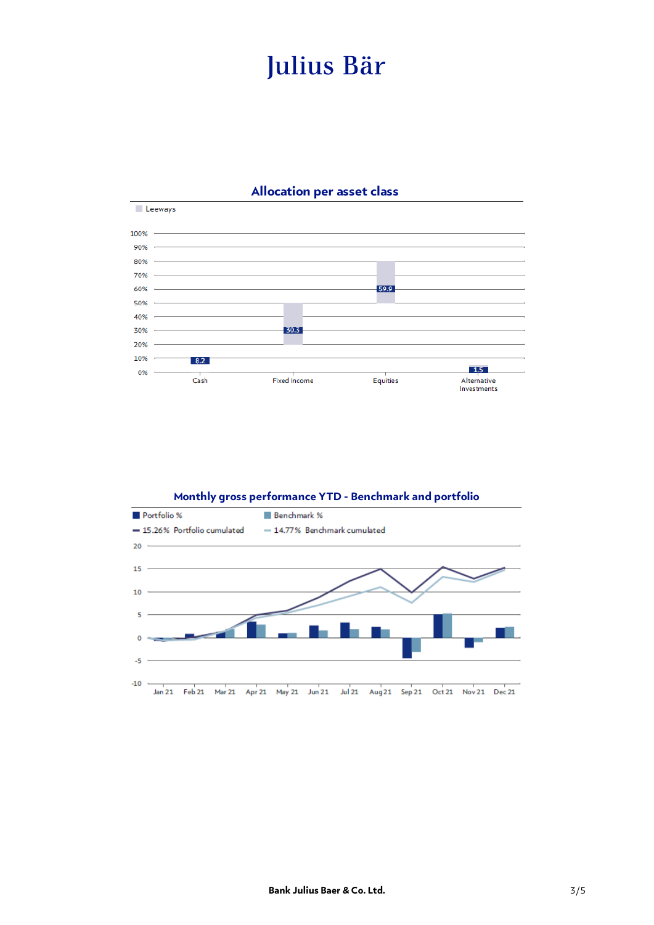

#### **Allocation per asset class**

#### **Monthly gross performance YTD - Benchmark and portfolio**

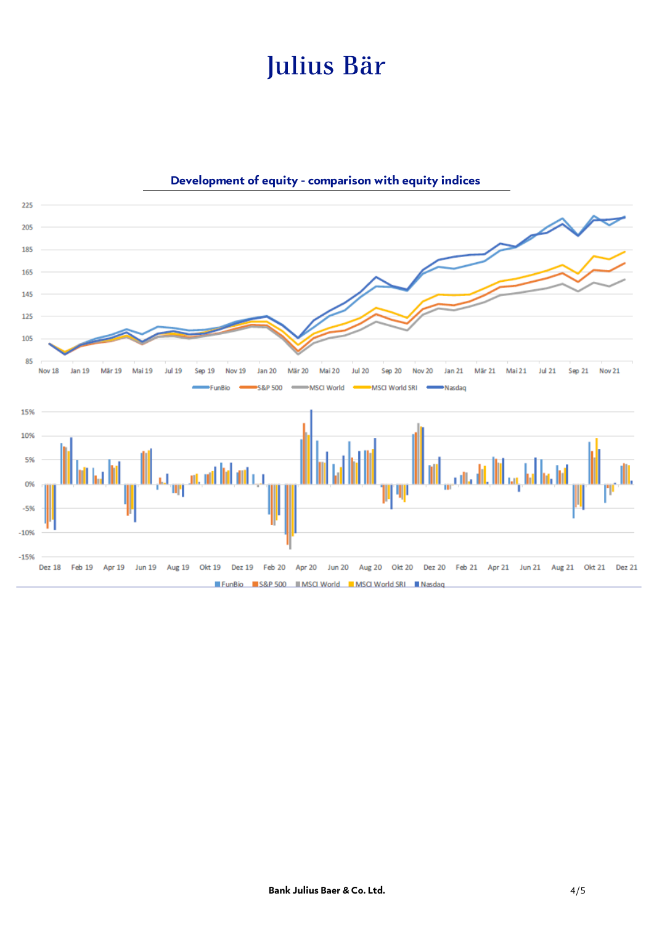

### **Development of equity - comparison with equity indices**